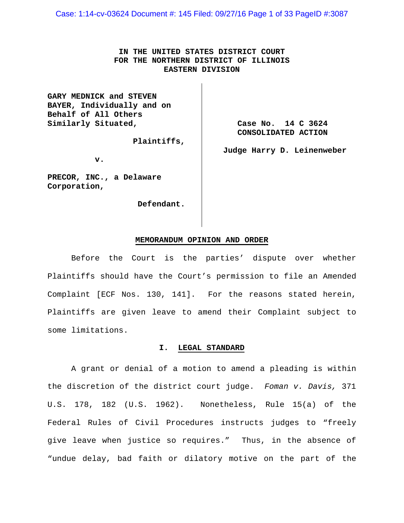Case: 1:14-cv-03624 Document #: 145 Filed: 09/27/16 Page 1 of 33 PageID #:3087

# **IN THE UNITED STATES DISTRICT COURT FOR THE NORTHERN DISTRICT OF ILLINOIS EASTERN DIVISION**

**GARY MEDNICK and STEVEN BAYER, Individually and on Behalf of All Others Similarly Situated,**

 **Plaintiffs,**

**v.**

**PRECOR, INC., a Delaware Corporation,**

 **Defendant.**

**Case No. 14 C 3624 CONSOLIDATED ACTION**

 **Judge Harry D. Leinenweber**

#### **MEMORANDUM OPINION AND ORDER**

Before the Court is the parties' dispute over whether Plaintiffs should have the Court's permission to file an Amended Complaint [ECF Nos. 130, 141]. For the reasons stated herein, Plaintiffs are given leave to amend their Complaint subject to some limitations.

#### **I. LEGAL STANDARD**

A grant or denial of a motion to amend a pleading is within the discretion of the district court judge. *Foman v. Davis,* 371 U.S. 178, 182 (U.S. 1962). Nonetheless, Rule 15(a) of the Federal Rules of Civil Procedures instructs judges to "freely give leave when justice so requires." Thus, in the absence of "undue delay, bad faith or dilatory motive on the part of the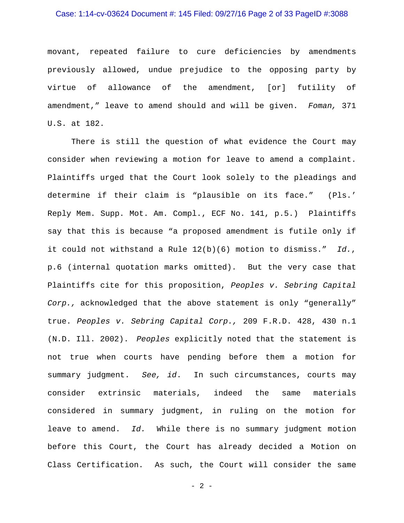#### Case: 1:14-cv-03624 Document #: 145 Filed: 09/27/16 Page 2 of 33 PageID #:3088

movant, repeated failure to cure deficiencies by amendments previously allowed, undue prejudice to the opposing party by virtue of allowance of the amendment, [or] futility of amendment," leave to amend should and will be given. *Foman,* 371 U.S. at 182.

There is still the question of what evidence the Court may consider when reviewing a motion for leave to amend a complaint. Plaintiffs urged that the Court look solely to the pleadings and determine if their claim is "plausible on its face." (Pls.' Reply Mem. Supp. Mot. Am. Compl., ECF No. 141, p.5.) Plaintiffs say that this is because "a proposed amendment is futile only if it could not withstand a Rule 12(b)(6) motion to dismiss." *Id.*, p.6 (internal quotation marks omitted). But the very case that Plaintiffs cite for this proposition, *Peoples v. Sebring Capital Corp.,* acknowledged that the above statement is only "generally" true. *Peoples v. Sebring Capital Corp.,* 209 F.R.D. 428, 430 n.1 (N.D. Ill. 2002). *Peoples* explicitly noted that the statement is not true when courts have pending before them a motion for summary judgment. *See, id*. In such circumstances, courts may consider extrinsic materials, indeed the same materials considered in summary judgment, in ruling on the motion for leave to amend. *Id.* While there is no summary judgment motion before this Court, the Court has already decided a Motion on Class Certification. As such, the Court will consider the same

- 2 -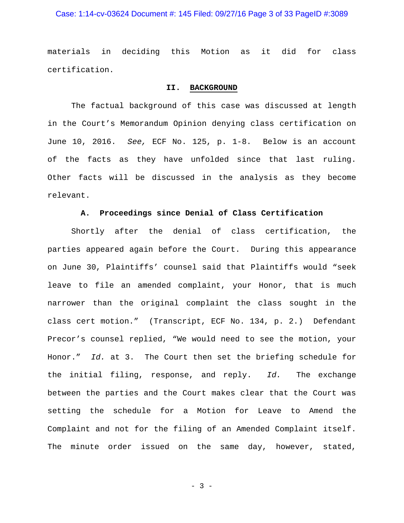### Case: 1:14-cv-03624 Document #: 145 Filed: 09/27/16 Page 3 of 33 PageID #:3089

materials in deciding this Motion as it did for class certification.

## **II. BACKGROUND**

The factual background of this case was discussed at length in the Court's Memorandum Opinion denying class certification on June 10, 2016. *See,* ECF No. 125, p. 1-8. Below is an account of the facts as they have unfolded since that last ruling. Other facts will be discussed in the analysis as they become relevant.

## **A. Proceedings since Denial of Class Certification**

Shortly after the denial of class certification, the parties appeared again before the Court. During this appearance on June 30, Plaintiffs' counsel said that Plaintiffs would "seek leave to file an amended complaint, your Honor, that is much narrower than the original complaint the class sought in the class cert motion." (Transcript, ECF No. 134, p. 2.) Defendant Precor's counsel replied, "We would need to see the motion, your Honor." *Id.* at 3. The Court then set the briefing schedule for the initial filing, response, and reply. *Id.* The exchange between the parties and the Court makes clear that the Court was setting the schedule for a Motion for Leave to Amend the Complaint and not for the filing of an Amended Complaint itself. The minute order issued on the same day, however, stated,

- 3 -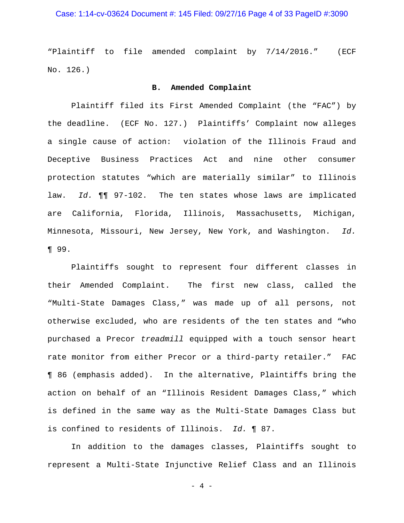### Case: 1:14-cv-03624 Document #: 145 Filed: 09/27/16 Page 4 of 33 PageID #:3090

"Plaintiff to file amended complaint by 7/14/2016." (ECF No. 126.)

### **B. Amended Complaint**

Plaintiff filed its First Amended Complaint (the "FAC") by the deadline. (ECF No. 127.) Plaintiffs' Complaint now alleges a single cause of action: violation of the Illinois Fraud and Deceptive Business Practices Act and nine other consumer protection statutes "which are materially similar" to Illinois law. *Id.* ¶¶ 97-102. The ten states whose laws are implicated are California, Florida, Illinois, Massachusetts, Michigan, Minnesota, Missouri, New Jersey, New York, and Washington. *Id.*  ¶ 99.

Plaintiffs sought to represent four different classes in their Amended Complaint. The first new class, called the "Multi-State Damages Class," was made up of all persons, not otherwise excluded, who are residents of the ten states and "who purchased a Precor *treadmill* equipped with a touch sensor heart rate monitor from either Precor or a third-party retailer." FAC ¶ 86 (emphasis added). In the alternative, Plaintiffs bring the action on behalf of an "Illinois Resident Damages Class," which is defined in the same way as the Multi-State Damages Class but is confined to residents of Illinois. *Id.* ¶ 87.

In addition to the damages classes, Plaintiffs sought to represent a Multi-State Injunctive Relief Class and an Illinois

- 4 -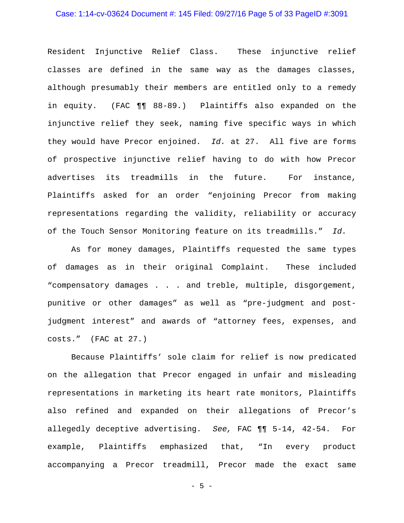#### Case: 1:14-cv-03624 Document #: 145 Filed: 09/27/16 Page 5 of 33 PageID #:3091

Resident Injunctive Relief Class. These injunctive relief classes are defined in the same way as the damages classes, although presumably their members are entitled only to a remedy in equity. (FAC ¶¶ 88-89.) Plaintiffs also expanded on the injunctive relief they seek, naming five specific ways in which they would have Precor enjoined. *Id.* at 27. All five are forms of prospective injunctive relief having to do with how Precor advertises its treadmills in the future. For instance, Plaintiffs asked for an order "enjoining Precor from making representations regarding the validity, reliability or accuracy of the Touch Sensor Monitoring feature on its treadmills." *Id.*

As for money damages, Plaintiffs requested the same types of damages as in their original Complaint. These included "compensatory damages . . . and treble, multiple, disgorgement, punitive or other damages" as well as "pre-judgment and postjudgment interest" and awards of "attorney fees, expenses, and costs." (FAC at 27.)

Because Plaintiffs' sole claim for relief is now predicated on the allegation that Precor engaged in unfair and misleading representations in marketing its heart rate monitors, Plaintiffs also refined and expanded on their allegations of Precor's allegedly deceptive advertising. *See,* FAC ¶¶ 5-14, 42-54. For example, Plaintiffs emphasized that, "In every product accompanying a Precor treadmill, Precor made the exact same

 $-5 -$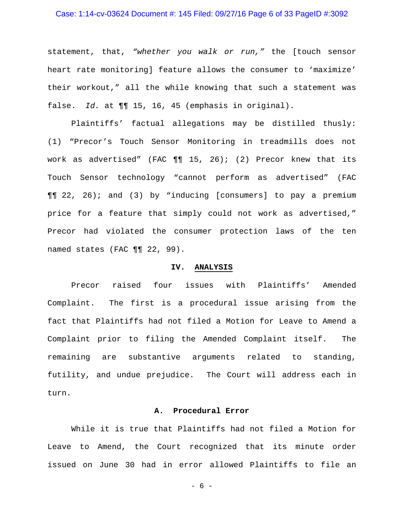#### Case: 1:14-cv-03624 Document #: 145 Filed: 09/27/16 Page 6 of 33 PageID #:3092

statement, that, *"whether you walk or run,"* the [touch sensor heart rate monitoring] feature allows the consumer to 'maximize' their workout," all the while knowing that such a statement was false. *Id.* at  $\P\P$  15, 16, 45 (emphasis in original).

Plaintiffs' factual allegations may be distilled thusly: (1) "Precor's Touch Sensor Monitoring in treadmills does not work as advertised" (FAC  $\P\P$  15, 26); (2) Precor knew that its Touch Sensor technology "cannot perform as advertised" (FAC ¶¶ 22, 26); and (3) by "inducing [consumers] to pay a premium price for a feature that simply could not work as advertised," Precor had violated the consumer protection laws of the ten named states (FAC ¶¶ 22, 99).

#### **IV. ANALYSIS**

Precor raised four issues with Plaintiffs' Amended Complaint. The first is a procedural issue arising from the fact that Plaintiffs had not filed a Motion for Leave to Amend a Complaint prior to filing the Amended Complaint itself. The remaining are substantive arguments related to standing, futility, and undue prejudice. The Court will address each in turn.

## **A. Procedural Error**

While it is true that Plaintiffs had not filed a Motion for Leave to Amend, the Court recognized that its minute order issued on June 30 had in error allowed Plaintiffs to file an

- 6 -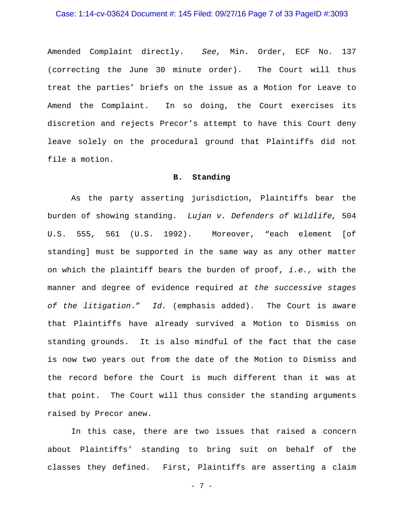### Case: 1:14-cv-03624 Document #: 145 Filed: 09/27/16 Page 7 of 33 PageID #:3093

Amended Complaint directly. *See,* Min. Order, ECF No. 137 (correcting the June 30 minute order). The Court will thus treat the parties' briefs on the issue as a Motion for Leave to Amend the Complaint. In so doing, the Court exercises its discretion and rejects Precor's attempt to have this Court deny leave solely on the procedural ground that Plaintiffs did not file a motion.

#### **B. Standing**

As the party asserting jurisdiction, Plaintiffs bear the burden of showing standing. *Lujan v. Defenders of Wildlife,* 504 U.S. 555, 561 (U.S. 1992). Moreover, "each element [of standing] must be supported in the same way as any other matter on which the plaintiff bears the burden of proof, *i.e.,* with the manner and degree of evidence required *at the successive stages of the litigation*." *Id.* (emphasis added). The Court is aware that Plaintiffs have already survived a Motion to Dismiss on standing grounds. It is also mindful of the fact that the case is now two years out from the date of the Motion to Dismiss and the record before the Court is much different than it was at that point. The Court will thus consider the standing arguments raised by Precor anew.

In this case, there are two issues that raised a concern about Plaintiffs' standing to bring suit on behalf of the classes they defined. First, Plaintiffs are asserting a claim

- 7 -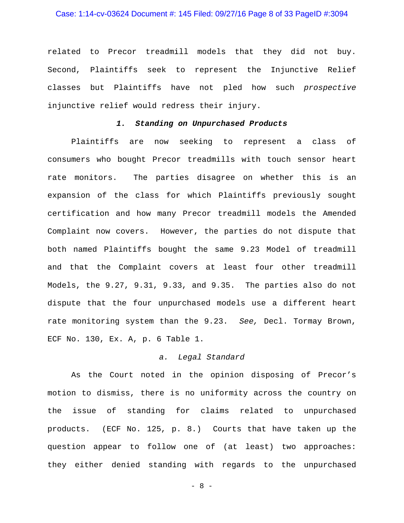#### Case: 1:14-cv-03624 Document #: 145 Filed: 09/27/16 Page 8 of 33 PageID #:3094

related to Precor treadmill models that they did not buy. Second, Plaintiffs seek to represent the Injunctive Relief classes but Plaintiffs have not pled how such *prospective* injunctive relief would redress their injury.

### *1. Standing on Unpurchased Products*

Plaintiffs are now seeking to represent a class of consumers who bought Precor treadmills with touch sensor heart rate monitors. The parties disagree on whether this is an expansion of the class for which Plaintiffs previously sought certification and how many Precor treadmill models the Amended Complaint now covers. However, the parties do not dispute that both named Plaintiffs bought the same 9.23 Model of treadmill and that the Complaint covers at least four other treadmill Models, the 9.27, 9.31, 9.33, and 9.35. The parties also do not dispute that the four unpurchased models use a different heart rate monitoring system than the 9.23. *See,* Decl. Tormay Brown, ECF No. 130, Ex. A, p. 6 Table 1.

## *a. Legal Standard*

As the Court noted in the opinion disposing of Precor's motion to dismiss, there is no uniformity across the country on the issue of standing for claims related to unpurchased products. (ECF No. 125, p. 8.) Courts that have taken up the question appear to follow one of (at least) two approaches: they either denied standing with regards to the unpurchased

- 8 -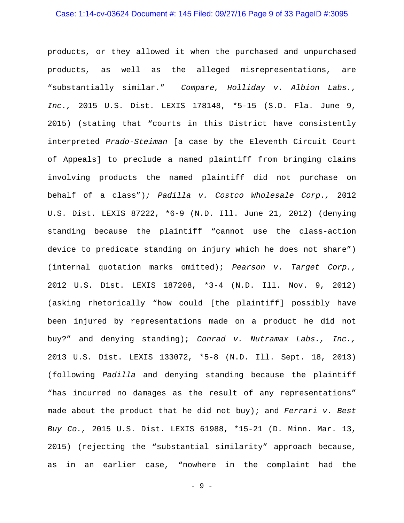#### Case: 1:14-cv-03624 Document #: 145 Filed: 09/27/16 Page 9 of 33 PageID #:3095

products, or they allowed it when the purchased and unpurchased products, as well as the alleged misrepresentations, are "substantially similar." *Compare, Holliday v. Albion Labs., Inc.,* 2015 U.S. Dist. LEXIS 178148, \*5-15 (S.D. Fla. June 9, 2015) (stating that "courts in this District have consistently interpreted *Prado-Steiman* [a case by the Eleventh Circuit Court of Appeals] to preclude a named plaintiff from bringing claims involving products the named plaintiff did not purchase on behalf of a class")*; Padilla v. Costco Wholesale Corp.,* 2012 U.S. Dist. LEXIS 87222, \*6-9 (N.D. Ill. June 21, 2012) (denying standing because the plaintiff "cannot use the class-action device to predicate standing on injury which he does not share") (internal quotation marks omitted); *Pearson v. Target Corp.,* 2012 U.S. Dist. LEXIS 187208, \*3-4 (N.D. Ill. Nov. 9, 2012) (asking rhetorically "how could [the plaintiff] possibly have been injured by representations made on a product he did not buy?" and denying standing); *Conrad v. Nutramax Labs., Inc.,* 2013 U.S. Dist. LEXIS 133072, \*5-8 (N.D. Ill. Sept. 18, 2013) (following *Padilla* and denying standing because the plaintiff "has incurred no damages as the result of any representations" made about the product that he did not buy); and *Ferrari v. Best Buy Co.,* 2015 U.S. Dist. LEXIS 61988, \*15-21 (D. Minn. Mar. 13, 2015) (rejecting the "substantial similarity" approach because, as in an earlier case, "nowhere in the complaint had the

- 9 -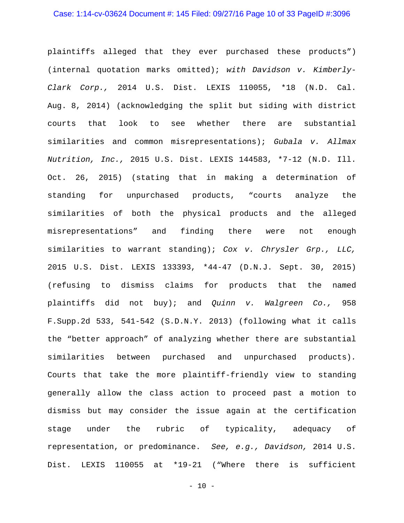#### Case: 1:14-cv-03624 Document #: 145 Filed: 09/27/16 Page 10 of 33 PageID #:3096

plaintiffs alleged that they ever purchased these products") (internal quotation marks omitted); *with Davidson v. Kimberly-Clark Corp.,* 2014 U.S. Dist. LEXIS 110055, \*18 (N.D. Cal. Aug. 8, 2014) (acknowledging the split but siding with district courts that look to see whether there are substantial similarities and common misrepresentations); *Gubala v. Allmax Nutrition, Inc.,* 2015 U.S. Dist. LEXIS 144583, \*7-12 (N.D. Ill. Oct. 26, 2015) (stating that in making a determination of standing for unpurchased products, "courts analyze the similarities of both the physical products and the alleged misrepresentations" and finding there were not enough similarities to warrant standing); *Cox v. Chrysler Grp., LLC,* 2015 U.S. Dist. LEXIS 133393, \*44-47 (D.N.J. Sept. 30, 2015) (refusing to dismiss claims for products that the named plaintiffs did not buy); and *Quinn v. Walgreen Co.,* 958 F.Supp.2d 533, 541-542 (S.D.N.Y. 2013) (following what it calls the "better approach" of analyzing whether there are substantial similarities between purchased and unpurchased products)*.*  Courts that take the more plaintiff-friendly view to standing generally allow the class action to proceed past a motion to dismiss but may consider the issue again at the certification stage under the rubric of typicality, adequacy of representation, or predominance. *See, e.g., Davidson,* 2014 U.S. Dist. LEXIS 110055 at \*19-21 ("Where there is sufficient

 $- 10 -$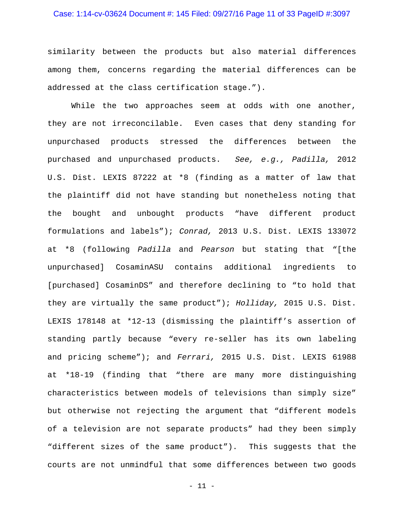#### Case: 1:14-cv-03624 Document #: 145 Filed: 09/27/16 Page 11 of 33 PageID #:3097

similarity between the products but also material differences among them, concerns regarding the material differences can be addressed at the class certification stage.").

While the two approaches seem at odds with one another, they are not irreconcilable. Even cases that deny standing for unpurchased products stressed the differences between the purchased and unpurchased products. *See, e.g., Padilla,* 2012 U.S. Dist. LEXIS 87222 at \*8 (finding as a matter of law that the plaintiff did not have standing but nonetheless noting that the bought and unbought products "have different product formulations and labels"); *Conrad,* 2013 U.S. Dist. LEXIS 133072 at \*8 (following *Padilla* and *Pearson* but stating that "[the unpurchased] CosaminASU contains additional ingredients to [purchased] CosaminDS" and therefore declining to "to hold that they are virtually the same product"); *Holliday,* 2015 U.S. Dist. LEXIS 178148 at \*12-13 (dismissing the plaintiff's assertion of standing partly because "every re-seller has its own labeling and pricing scheme"); and *Ferrari,* 2015 U.S. Dist. LEXIS 61988 at \*18-19 (finding that "there are many more distinguishing characteristics between models of televisions than simply size" but otherwise not rejecting the argument that "different models of a television are not separate products" had they been simply "different sizes of the same product").This suggests that the courts are not unmindful that some differences between two goods

- 11 -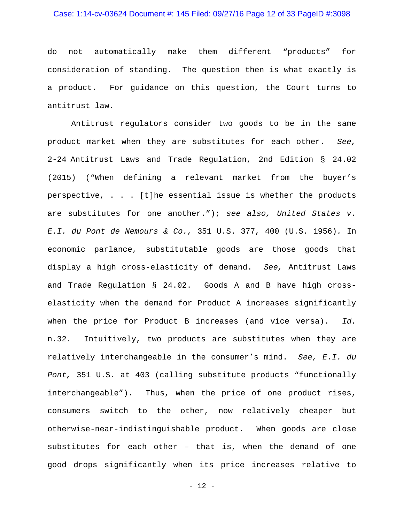#### Case: 1:14-cv-03624 Document #: 145 Filed: 09/27/16 Page 12 of 33 PageID #:3098

do not automatically make them different "products" for consideration of standing. The question then is what exactly is a product. For guidance on this question, the Court turns to antitrust law.

Antitrust regulators consider two goods to be in the same product market when they are substitutes for each other. *See,* 2-24 Antitrust Laws and Trade Regulation, 2nd Edition § 24.02 (2015) ("When defining a relevant market from the buyer's perspective, . . . [t]he essential issue is whether the products are substitutes for one another."); *see also, United States v. E.I. du Pont de Nemours & Co.,* 351 U.S. 377, 400 (U.S. 1956)*.* In economic parlance, substitutable goods are those goods that display a high cross-elasticity of demand. *See,* Antitrust Laws and Trade Regulation § 24.02. Goods A and B have high crosselasticity when the demand for Product A increases significantly when the price for Product B increases (and vice versa). *Id.*  n.32. Intuitively, two products are substitutes when they are relatively interchangeable in the consumer's mind. *See, E.I. du Pont,* 351 U.S. at 403 (calling substitute products "functionally interchangeable"). Thus, when the price of one product rises, consumers switch to the other, now relatively cheaper but otherwise-near-indistinguishable product. When goods are close substitutes for each other – that is, when the demand of one good drops significantly when its price increases relative to

- 12 -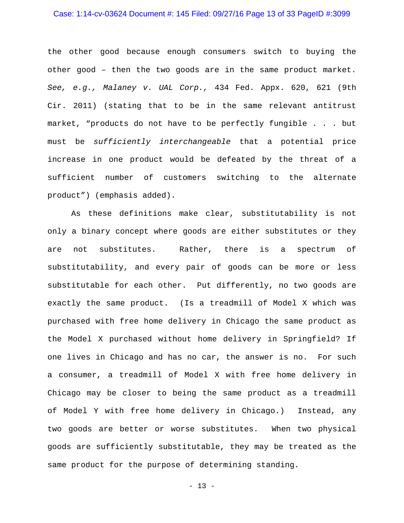#### Case: 1:14-cv-03624 Document #: 145 Filed: 09/27/16 Page 13 of 33 PageID #:3099

the other good because enough consumers switch to buying the other good – then the two goods are in the same product market. *See, e.g., Malaney v. UAL Corp.,* 434 Fed. Appx. 620, 621 (9th Cir. 2011) (stating that to be in the same relevant antitrust market, "products do not have to be perfectly fungible . . . but must be *sufficiently interchangeable* that a potential price increase in one product would be defeated by the threat of a sufficient number of customers switching to the alternate product") (emphasis added).

As these definitions make clear, substitutability is not only a binary concept where goods are either substitutes or they are not substitutes. Rather, there is a spectrum of substitutability, and every pair of goods can be more or less substitutable for each other. Put differently, no two goods are exactly the same product. (Is a treadmill of Model X which was purchased with free home delivery in Chicago the same product as the Model X purchased without home delivery in Springfield? If one lives in Chicago and has no car, the answer is no. For such a consumer, a treadmill of Model X with free home delivery in Chicago may be closer to being the same product as a treadmill of Model Y with free home delivery in Chicago.) Instead, any two goods are better or worse substitutes. When two physical goods are sufficiently substitutable, they may be treated as the same product for the purpose of determining standing.

- 13 -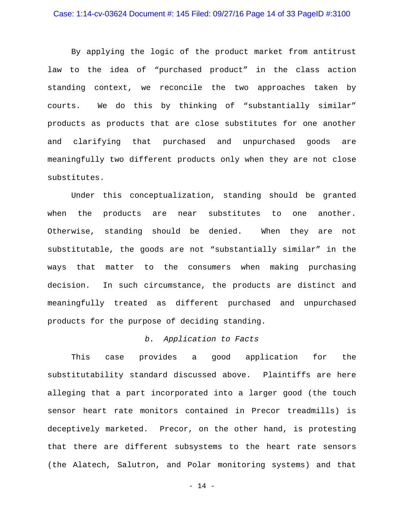### Case: 1:14-cv-03624 Document #: 145 Filed: 09/27/16 Page 14 of 33 PageID #:3100

By applying the logic of the product market from antitrust law to the idea of "purchased product" in the class action standing context, we reconcile the two approaches taken by courts. We do this by thinking of "substantially similar" products as products that are close substitutes for one another and clarifying that purchased and unpurchased goods are meaningfully two different products only when they are not close substitutes.

Under this conceptualization, standing should be granted when the products are near substitutes to one another. Otherwise, standing should be denied. When they are not substitutable, the goods are not "substantially similar" in the ways that matter to the consumers when making purchasing decision. In such circumstance, the products are distinct and meaningfully treated as different purchased and unpurchased products for the purpose of deciding standing.

## *b. Application to Facts*

This case provides a good application for the substitutability standard discussed above. Plaintiffs are here alleging that a part incorporated into a larger good (the touch sensor heart rate monitors contained in Precor treadmills) is deceptively marketed. Precor, on the other hand, is protesting that there are different subsystems to the heart rate sensors (the Alatech, Salutron, and Polar monitoring systems) and that

- 14 -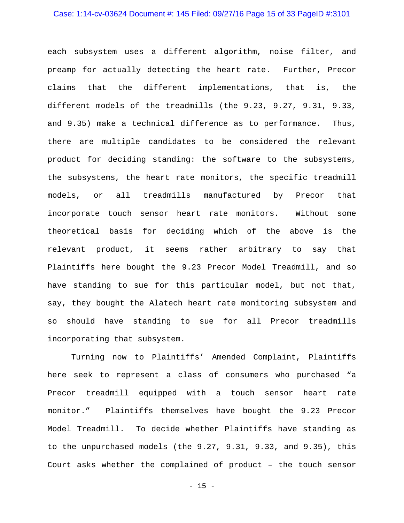#### Case: 1:14-cv-03624 Document #: 145 Filed: 09/27/16 Page 15 of 33 PageID #:3101

each subsystem uses a different algorithm, noise filter, and preamp for actually detecting the heart rate. Further, Precor claims that the different implementations, that is, the different models of the treadmills (the 9.23, 9.27, 9.31, 9.33, and 9.35) make a technical difference as to performance. Thus, there are multiple candidates to be considered the relevant product for deciding standing: the software to the subsystems, the subsystems, the heart rate monitors, the specific treadmill models, or all treadmills manufactured by Precor that incorporate touch sensor heart rate monitors. Without some theoretical basis for deciding which of the above is the relevant product, it seems rather arbitrary to say that Plaintiffs here bought the 9.23 Precor Model Treadmill, and so have standing to sue for this particular model, but not that, say, they bought the Alatech heart rate monitoring subsystem and so should have standing to sue for all Precor treadmills incorporating that subsystem.

Turning now to Plaintiffs' Amended Complaint, Plaintiffs here seek to represent a class of consumers who purchased "a Precor treadmill equipped with a touch sensor heart rate monitor." Plaintiffs themselves have bought the 9.23 Precor Model Treadmill. To decide whether Plaintiffs have standing as to the unpurchased models (the 9.27, 9.31, 9.33, and 9.35), this Court asks whether the complained of product – the touch sensor

 $- 15 -$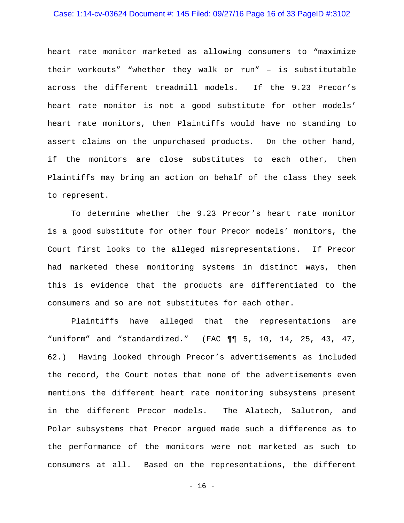#### Case: 1:14-cv-03624 Document #: 145 Filed: 09/27/16 Page 16 of 33 PageID #:3102

heart rate monitor marketed as allowing consumers to "maximize their workouts" "whether they walk or run" – is substitutable across the different treadmill models. If the 9.23 Precor's heart rate monitor is not a good substitute for other models' heart rate monitors, then Plaintiffs would have no standing to assert claims on the unpurchased products. On the other hand, if the monitors are close substitutes to each other, then Plaintiffs may bring an action on behalf of the class they seek to represent.

To determine whether the 9.23 Precor's heart rate monitor is a good substitute for other four Precor models' monitors, the Court first looks to the alleged misrepresentations. If Precor had marketed these monitoring systems in distinct ways, then this is evidence that the products are differentiated to the consumers and so are not substitutes for each other.

Plaintiffs have alleged that the representations are "uniform" and "standardized." (FAC ¶¶ 5, 10, 14, 25, 43, 47, 62.) Having looked through Precor's advertisements as included the record, the Court notes that none of the advertisements even mentions the different heart rate monitoring subsystems present in the different Precor models. The Alatech, Salutron, and Polar subsystems that Precor argued made such a difference as to the performance of the monitors were not marketed as such to consumers at all. Based on the representations, the different

- 16 -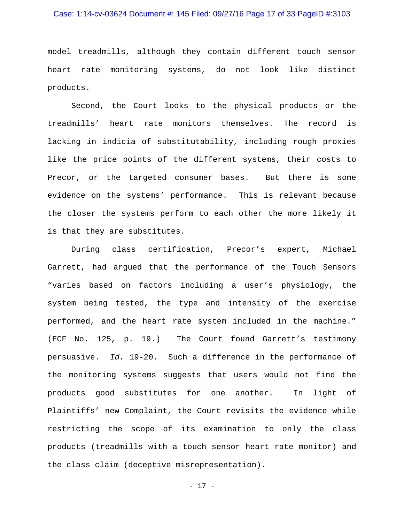#### Case: 1:14-cv-03624 Document #: 145 Filed: 09/27/16 Page 17 of 33 PageID #:3103

model treadmills, although they contain different touch sensor heart rate monitoring systems, do not look like distinct products.

Second, the Court looks to the physical products or the treadmills' heart rate monitors themselves. The record is lacking in indicia of substitutability, including rough proxies like the price points of the different systems, their costs to Precor, or the targeted consumer bases. But there is some evidence on the systems' performance. This is relevant because the closer the systems perform to each other the more likely it is that they are substitutes.

During class certification, Precor's expert, Michael Garrett, had argued that the performance of the Touch Sensors "varies based on factors including a user's physiology, the system being tested, the type and intensity of the exercise performed, and the heart rate system included in the machine." (ECF No. 125, p. 19.) The Court found Garrett's testimony persuasive. *Id.* 19-20. Such a difference in the performance of the monitoring systems suggests that users would not find the products good substitutes for one another. In light of Plaintiffs' new Complaint, the Court revisits the evidence while restricting the scope of its examination to only the class products (treadmills with a touch sensor heart rate monitor) and the class claim (deceptive misrepresentation).

- 17 -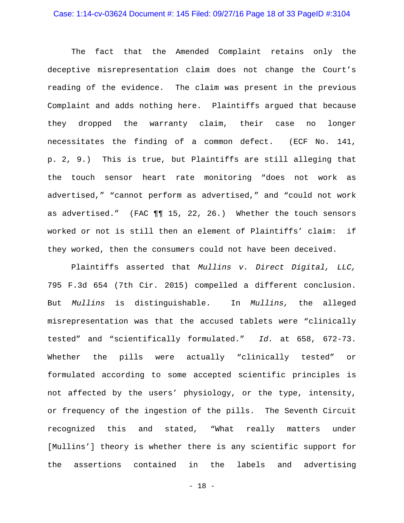#### Case: 1:14-cv-03624 Document #: 145 Filed: 09/27/16 Page 18 of 33 PageID #:3104

The fact that the Amended Complaint retains only the deceptive misrepresentation claim does not change the Court's reading of the evidence. The claim was present in the previous Complaint and adds nothing here. Plaintiffs argued that because they dropped the warranty claim, their case no longer necessitates the finding of a common defect. (ECF No. 141, p. 2, 9.) This is true, but Plaintiffs are still alleging that the touch sensor heart rate monitoring "does not work as advertised," "cannot perform as advertised," and "could not work as advertised." (FAC ¶¶ 15, 22, 26.) Whether the touch sensors worked or not is still then an element of Plaintiffs' claim: if they worked, then the consumers could not have been deceived.

Plaintiffs asserted that *Mullins v. Direct Digital, LLC,* 795 F.3d 654 (7th Cir. 2015) compelled a different conclusion. But *Mullins* is distinguishable. In *Mullins,* the alleged misrepresentation was that the accused tablets were "clinically tested" and "scientifically formulated." *Id.* at 658, 672-73. Whether the pills were actually "clinically tested" or formulated according to some accepted scientific principles is not affected by the users' physiology, or the type, intensity, or frequency of the ingestion of the pills. The Seventh Circuit recognized this and stated, "What really matters under [Mullins'] theory is whether there is any scientific support for the assertions contained in the labels and advertising

- 18 -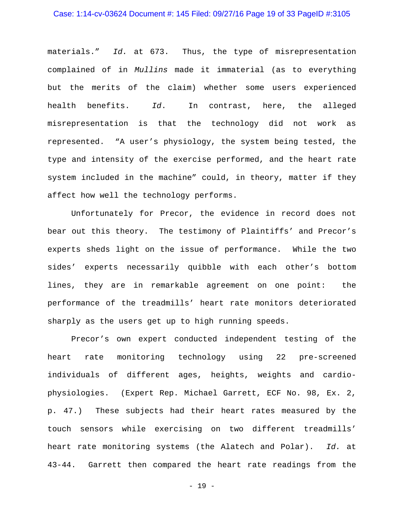#### Case: 1:14-cv-03624 Document #: 145 Filed: 09/27/16 Page 19 of 33 PageID #:3105

materials." *Id.* at 673. Thus, the type of misrepresentation complained of in *Mullins* made it immaterial (as to everything but the merits of the claim) whether some users experienced health benefits. *Id*. In contrast, here, the alleged misrepresentation is that the technology did not work as represented. "A user's physiology, the system being tested, the type and intensity of the exercise performed, and the heart rate system included in the machine" could, in theory, matter if they affect how well the technology performs.

Unfortunately for Precor, the evidence in record does not bear out this theory. The testimony of Plaintiffs' and Precor's experts sheds light on the issue of performance. While the two sides' experts necessarily quibble with each other's bottom lines, they are in remarkable agreement on one point: the performance of the treadmills' heart rate monitors deteriorated sharply as the users get up to high running speeds.

Precor's own expert conducted independent testing of the heart rate monitoring technology using 22 pre-screened individuals of different ages, heights, weights and cardiophysiologies. (Expert Rep. Michael Garrett, ECF No. 98, Ex. 2, p. 47.) These subjects had their heart rates measured by the touch sensors while exercising on two different treadmills' heart rate monitoring systems (the Alatech and Polar). *Id.* at 43-44. Garrett then compared the heart rate readings from the

- 19 -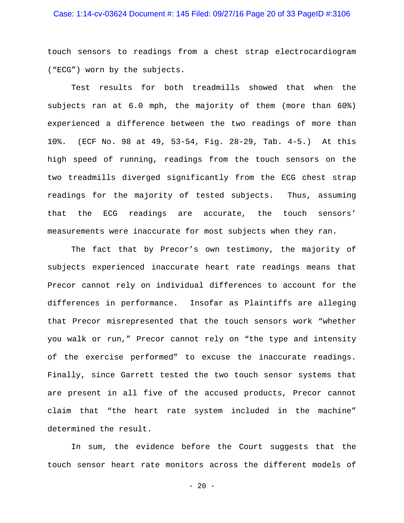### Case: 1:14-cv-03624 Document #: 145 Filed: 09/27/16 Page 20 of 33 PageID #:3106

touch sensors to readings from a chest strap electrocardiogram ("ECG") worn by the subjects.

Test results for both treadmills showed that when the subjects ran at 6.0 mph, the majority of them (more than 60%) experienced a difference between the two readings of more than 10%. (ECF No. 98 at 49, 53-54, Fig. 28-29, Tab. 4-5.) At this high speed of running, readings from the touch sensors on the two treadmills diverged significantly from the ECG chest strap readings for the majority of tested subjects. Thus, assuming that the ECG readings are accurate, the touch sensors' measurements were inaccurate for most subjects when they ran.

The fact that by Precor's own testimony, the majority of subjects experienced inaccurate heart rate readings means that Precor cannot rely on individual differences to account for the differences in performance. Insofar as Plaintiffs are alleging that Precor misrepresented that the touch sensors work "whether you walk or run," Precor cannot rely on "the type and intensity of the exercise performed" to excuse the inaccurate readings. Finally, since Garrett tested the two touch sensor systems that are present in all five of the accused products, Precor cannot claim that "the heart rate system included in the machine" determined the result.

In sum, the evidence before the Court suggests that the touch sensor heart rate monitors across the different models of

 $- 20 -$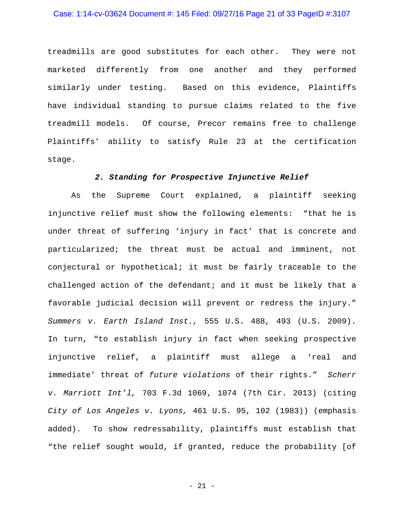### Case: 1:14-cv-03624 Document #: 145 Filed: 09/27/16 Page 21 of 33 PageID #:3107

treadmills are good substitutes for each other. They were not marketed differently from one another and they performed similarly under testing. Based on this evidence, Plaintiffs have individual standing to pursue claims related to the five treadmill models. Of course, Precor remains free to challenge Plaintiffs' ability to satisfy Rule 23 at the certification stage.

### *2. Standing for Prospective Injunctive Relief*

As the Supreme Court explained, a plaintiff seeking injunctive relief must show the following elements: "that he is under threat of suffering 'injury in fact' that is concrete and particularized; the threat must be actual and imminent, not conjectural or hypothetical; it must be fairly traceable to the challenged action of the defendant; and it must be likely that a favorable judicial decision will prevent or redress the injury." *Summers v. Earth Island Inst.,* 555 U.S. 488, 493 (U.S. 2009). In turn, "to establish injury in fact when seeking prospective injunctive relief, a plaintiff must allege a 'real and immediate' threat of *future violations* of their rights." *Scherr v. Marriott Int'l,* 703 F.3d 1069, 1074 (7th Cir. 2013) (citing *City of Los Angeles v. Lyons,* 461 U.S. 95, 102 (1983)) (emphasis added). To show redressability, plaintiffs must establish that "the relief sought would, if granted, reduce the probability [of

- 21 -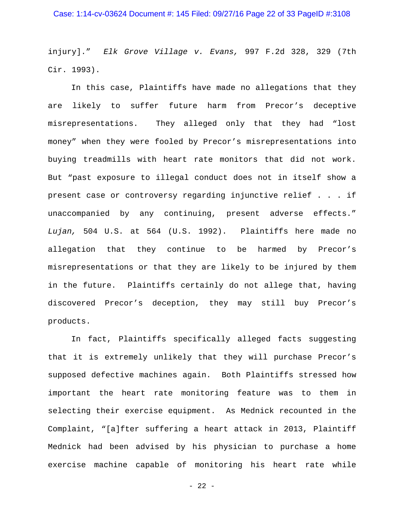### Case: 1:14-cv-03624 Document #: 145 Filed: 09/27/16 Page 22 of 33 PageID #:3108

injury]." *Elk Grove Village v. Evans,* 997 F.2d 328, 329 (7th Cir. 1993).

In this case, Plaintiffs have made no allegations that they are likely to suffer future harm from Precor's deceptive misrepresentations. They alleged only that they had "lost money" when they were fooled by Precor's misrepresentations into buying treadmills with heart rate monitors that did not work. But "past exposure to illegal conduct does not in itself show a present case or controversy regarding injunctive relief . . . if unaccompanied by any continuing, present adverse effects." *Lujan,* 504 U.S. at 564 (U.S. 1992). Plaintiffs here made no allegation that they continue to be harmed by Precor's misrepresentations or that they are likely to be injured by them in the future. Plaintiffs certainly do not allege that, having discovered Precor's deception, they may still buy Precor's products.

In fact, Plaintiffs specifically alleged facts suggesting that it is extremely unlikely that they will purchase Precor's supposed defective machines again. Both Plaintiffs stressed how important the heart rate monitoring feature was to them in selecting their exercise equipment. As Mednick recounted in the Complaint, "[a]fter suffering a heart attack in 2013, Plaintiff Mednick had been advised by his physician to purchase a home exercise machine capable of monitoring his heart rate while

- 22 -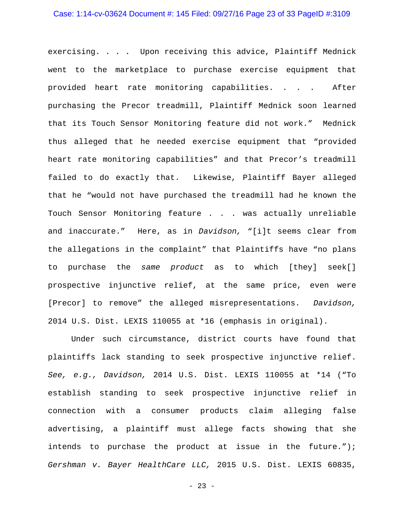#### Case: 1:14-cv-03624 Document #: 145 Filed: 09/27/16 Page 23 of 33 PageID #:3109

exercising. . . . Upon receiving this advice, Plaintiff Mednick went to the marketplace to purchase exercise equipment that provided heart rate monitoring capabilities. . . . After purchasing the Precor treadmill, Plaintiff Mednick soon learned that its Touch Sensor Monitoring feature did not work." Mednick thus alleged that he needed exercise equipment that "provided heart rate monitoring capabilities" and that Precor's treadmill failed to do exactly that. Likewise, Plaintiff Bayer alleged that he "would not have purchased the treadmill had he known the Touch Sensor Monitoring feature . . . was actually unreliable and inaccurate." Here, as in *Davidson,* "[i]t seems clear from the allegations in the complaint" that Plaintiffs have "no plans to purchase the *same product* as to which [they] seek[] prospective injunctive relief, at the same price, even were [Precor] to remove" the alleged misrepresentations. *Davidson,*  2014 U.S. Dist. LEXIS 110055 at \*16 (emphasis in original).

Under such circumstance, district courts have found that plaintiffs lack standing to seek prospective injunctive relief. *See, e.g., Davidson,* 2014 U.S. Dist. LEXIS 110055 at \*14 ("To establish standing to seek prospective injunctive relief in connection with a consumer products claim alleging false advertising, a plaintiff must allege facts showing that she intends to purchase the product at issue in the future."); *Gershman v. Bayer HealthCare LLC,* 2015 U.S. Dist. LEXIS 60835,

- 23 -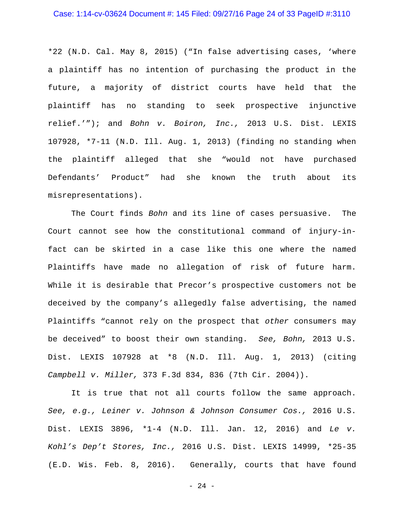### Case: 1:14-cv-03624 Document #: 145 Filed: 09/27/16 Page 24 of 33 PageID #:3110

\*22 (N.D. Cal. May 8, 2015) ("In false advertising cases, 'where a plaintiff has no intention of purchasing the product in the future, a majority of district courts have held that the plaintiff has no standing to seek prospective injunctive relief.'"); and *Bohn v. Boiron, Inc.,* 2013 U.S. Dist. LEXIS 107928, \*7-11 (N.D. Ill. Aug. 1, 2013) (finding no standing when the plaintiff alleged that she "would not have purchased Defendants' Product" had she known the truth about its misrepresentations).

The Court finds *Bohn* and its line of cases persuasive. The Court cannot see how the constitutional command of injury-infact can be skirted in a case like this one where the named Plaintiffs have made no allegation of risk of future harm. While it is desirable that Precor's prospective customers not be deceived by the company's allegedly false advertising, the named Plaintiffs "cannot rely on the prospect that *other* consumers may be deceived" to boost their own standing. *See, Bohn,* 2013 U.S. Dist. LEXIS 107928 at \*8 (N.D. Ill. Aug. 1, 2013) (citing *Campbell v. Miller,* 373 F.3d 834, 836 (7th Cir. 2004)).

It is true that not all courts follow the same approach. *See, e.g., Leiner v. Johnson & Johnson Consumer Cos.,* 2016 U.S. Dist. LEXIS 3896, \*1-4 (N.D. Ill. Jan. 12, 2016) and *Le v. Kohl's Dep't Stores, Inc.,* 2016 U.S. Dist. LEXIS 14999, \*25-35 (E.D. Wis. Feb. 8, 2016)*.* Generally, courts that have found

- 24 -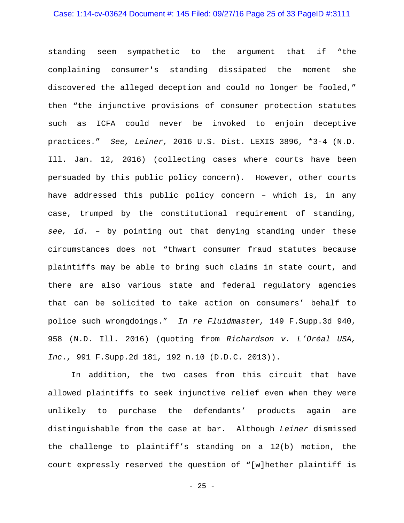#### Case: 1:14-cv-03624 Document #: 145 Filed: 09/27/16 Page 25 of 33 PageID #:3111

standing seem sympathetic to the argument that if "the complaining consumer's standing dissipated the moment she discovered the alleged deception and could no longer be fooled," then "the injunctive provisions of consumer protection statutes such as ICFA could never be invoked to enjoin deceptive practices." *See, Leiner,* 2016 U.S. Dist. LEXIS 3896, \*3-4 (N.D. Ill. Jan. 12, 2016) (collecting cases where courts have been persuaded by this public policy concern). However, other courts have addressed this public policy concern – which is, in any case, trumped by the constitutional requirement of standing, *see, id.* – by pointing out that denying standing under these circumstances does not "thwart consumer fraud statutes because plaintiffs may be able to bring such claims in state court, and there are also various state and federal regulatory agencies that can be solicited to take action on consumers' behalf to police such wrongdoings." *In re Fluidmaster,* 149 F.Supp.3d 940, 958 (N.D. Ill. 2016) (quoting from *Richardson v. L'Oréal USA, Inc.,* 991 F.Supp.2d 181, 192 n.10 (D.D.C. 2013)).

In addition, the two cases from this circuit that have allowed plaintiffs to seek injunctive relief even when they were unlikely to purchase the defendants' products again are distinguishable from the case at bar. Although *Leiner* dismissed the challenge to plaintiff's standing on a 12(b) motion, the court expressly reserved the question of "[w]hether plaintiff is

 $- 25 -$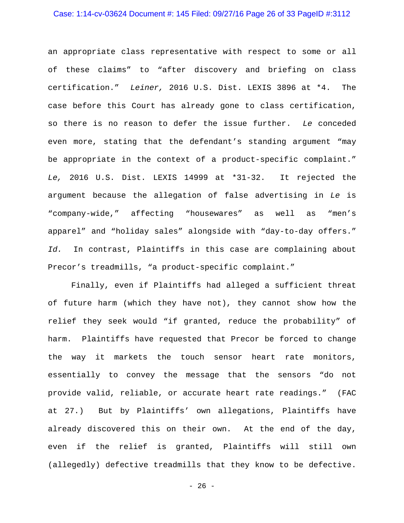#### Case: 1:14-cv-03624 Document #: 145 Filed: 09/27/16 Page 26 of 33 PageID #:3112

an appropriate class representative with respect to some or all of these claims" to "after discovery and briefing on class certification." *Leiner,* 2016 U.S. Dist. LEXIS 3896 at \*4. The case before this Court has already gone to class certification, so there is no reason to defer the issue further. *Le* conceded even more, stating that the defendant's standing argument "may be appropriate in the context of a product-specific complaint." *Le,* 2016 U.S. Dist. LEXIS 14999 at \*31-32. It rejected the argument because the allegation of false advertising in *Le* is "company-wide," affecting "housewares" as well as "men's apparel" and "holiday sales" alongside with "day-to-day offers." *Id.* In contrast, Plaintiffs in this case are complaining about Precor's treadmills, "a product-specific complaint."

Finally, even if Plaintiffs had alleged a sufficient threat of future harm (which they have not), they cannot show how the relief they seek would "if granted, reduce the probability" of harm. Plaintiffs have requested that Precor be forced to change the way it markets the touch sensor heart rate monitors, essentially to convey the message that the sensors "do not provide valid, reliable, or accurate heart rate readings." (FAC at 27.) But by Plaintiffs' own allegations, Plaintiffs have already discovered this on their own. At the end of the day, even if the relief is granted, Plaintiffs will still own (allegedly) defective treadmills that they know to be defective.

- 26 -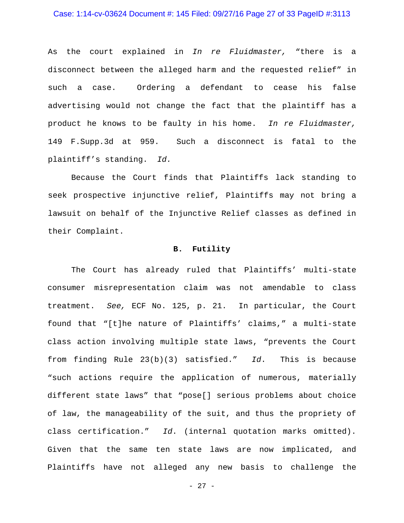### Case: 1:14-cv-03624 Document #: 145 Filed: 09/27/16 Page 27 of 33 PageID #:3113

As the court explained in *In re Fluidmaster,* "there is a disconnect between the alleged harm and the requested relief" in such a case. Ordering a defendant to cease his false advertising would not change the fact that the plaintiff has a product he knows to be faulty in his home. *In re Fluidmaster,*  149 F.Supp.3d at 959. Such a disconnect is fatal to the plaintiff's standing. *Id.*

Because the Court finds that Plaintiffs lack standing to seek prospective injunctive relief, Plaintiffs may not bring a lawsuit on behalf of the Injunctive Relief classes as defined in their Complaint.

# **B. Futility**

The Court has already ruled that Plaintiffs' multi-state consumer misrepresentation claim was not amendable to class treatment. *See,* ECF No. 125, p. 21. In particular, the Court found that "[t]he nature of Plaintiffs' claims," a multi-state class action involving multiple state laws, "prevents the Court from finding Rule 23(b)(3) satisfied." *Id*. This is because "such actions require the application of numerous, materially different state laws" that "pose[] serious problems about choice of law, the manageability of the suit, and thus the propriety of class certification." *Id*. (internal quotation marks omitted). Given that the same ten state laws are now implicated, and Plaintiffs have not alleged any new basis to challenge the

- 27 -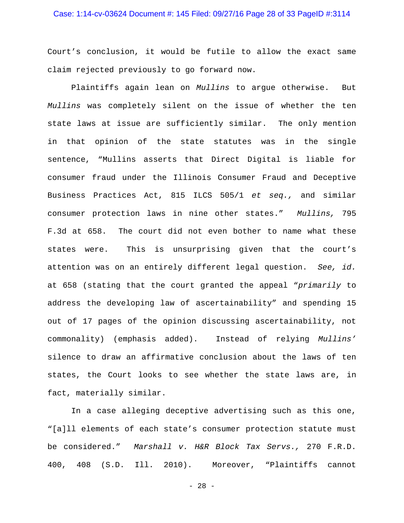### Case: 1:14-cv-03624 Document #: 145 Filed: 09/27/16 Page 28 of 33 PageID #:3114

Court's conclusion, it would be futile to allow the exact same claim rejected previously to go forward now.

Plaintiffs again lean on *Mullins* to argue otherwise. But *Mullins* was completely silent on the issue of whether the ten state laws at issue are sufficiently similar. The only mention in that opinion of the state statutes was in the single sentence, "Mullins asserts that Direct Digital is liable for consumer fraud under the Illinois Consumer Fraud and Deceptive Business Practices Act, 815 ILCS 505/1 *et seq.,* and similar consumer protection laws in nine other states." *Mullins,* 795 F.3d at 658. The court did not even bother to name what these states were. This is unsurprising given that the court's attention was on an entirely different legal question. *See, id.* at 658 (stating that the court granted the appeal "*primarily* to address the developing law of ascertainability" and spending 15 out of 17 pages of the opinion discussing ascertainability, not commonality) (emphasis added). Instead of relying *Mullins'*  silence to draw an affirmative conclusion about the laws of ten states, the Court looks to see whether the state laws are, in fact, materially similar.

In a case alleging deceptive advertising such as this one, "[a]ll elements of each state's consumer protection statute must be considered." *Marshall v. H&R Block Tax Servs.,* 270 F.R.D. 400, 408 (S.D. Ill. 2010). Moreover, "Plaintiffs cannot

- 28 -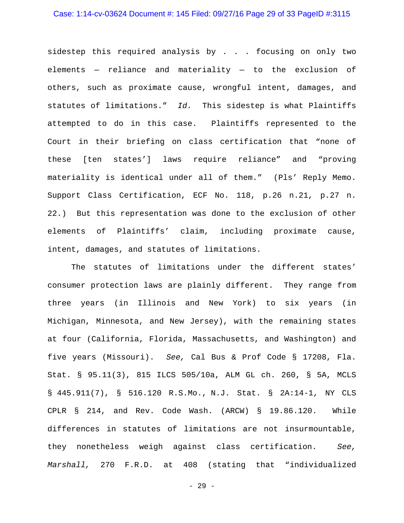#### Case: 1:14-cv-03624 Document #: 145 Filed: 09/27/16 Page 29 of 33 PageID #:3115

sidestep this required analysis by . . . focusing on only two elements — reliance and materiality — to the exclusion of others, such as proximate cause, wrongful intent, damages, and statutes of limitations." *Id.* This sidestep is what Plaintiffs attempted to do in this case. Plaintiffs represented to the Court in their briefing on class certification that "none of these [ten states'] laws require reliance" and "proving materiality is identical under all of them." (Pls' Reply Memo. Support Class Certification, ECF No. 118, p.26 n.21, p.27 n. 22.) But this representation was done to the exclusion of other elements of Plaintiffs' claim, including proximate cause, intent, damages, and statutes of limitations.

The statutes of limitations under the different states' consumer protection laws are plainly different. They range from three years (in Illinois and New York) to six years (in Michigan, Minnesota, and New Jersey), with the remaining states at four (California, Florida, Massachusetts, and Washington) and five years (Missouri). *See,* Cal Bus & Prof Code § 17208, Fla. Stat. § 95.11(3), 815 ILCS 505/10a, ALM GL ch. 260, § 5A, MCLS § 445.911(7), § 516.120 R.S.Mo., N.J. Stat. § 2A:14-1, NY CLS CPLR § 214, and Rev. Code Wash. (ARCW) § 19.86.120. While differences in statutes of limitations are not insurmountable, they nonetheless weigh against class certification. *See, Marshall,* 270 F.R.D. at 408 (stating that "individualized

- 29 -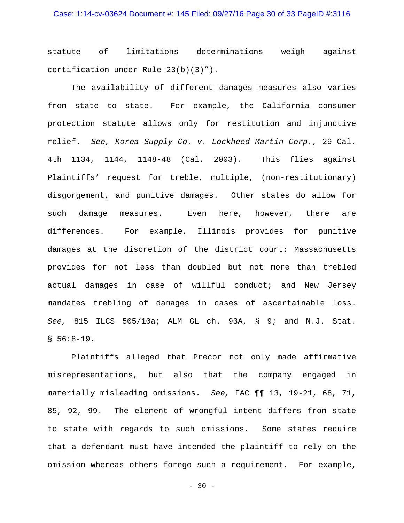#### Case: 1:14-cv-03624 Document #: 145 Filed: 09/27/16 Page 30 of 33 PageID #:3116

statute of limitations determinations weigh against certification under Rule 23(b)(3)").

The availability of different damages measures also varies from state to state. For example, the California consumer protection statute allows only for restitution and injunctive relief. *See, Korea Supply Co. v. Lockheed Martin Corp.,* 29 Cal. 4th 1134, 1144, 1148-48 (Cal. 2003). This flies against Plaintiffs' request for treble, multiple, (non-restitutionary) disgorgement, and punitive damages. Other states do allow for such damage measures. Even here, however, there are differences. For example, Illinois provides for punitive damages at the discretion of the district court; Massachusetts provides for not less than doubled but not more than trebled actual damages in case of willful conduct; and New Jersey mandates trebling of damages in cases of ascertainable loss. *See,* 815 ILCS 505/10a; ALM GL ch. 93A, § 9; and N.J. Stat.  $$56:8-19.$ 

Plaintiffs alleged that Precor not only made affirmative misrepresentations, but also that the company engaged in materially misleading omissions. *See,* FAC ¶¶ 13, 19-21, 68, 71, 85, 92, 99. The element of wrongful intent differs from state to state with regards to such omissions. Some states require that a defendant must have intended the plaintiff to rely on the omission whereas others forego such a requirement. For example,

 $- 30 -$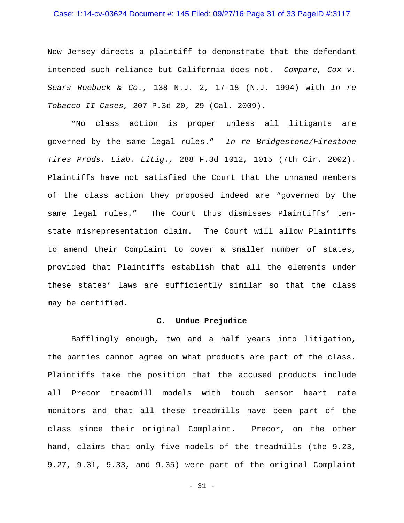### Case: 1:14-cv-03624 Document #: 145 Filed: 09/27/16 Page 31 of 33 PageID #:3117

New Jersey directs a plaintiff to demonstrate that the defendant intended such reliance but California does not. *Compare, Cox v. Sears Roebuck & Co*., 138 N.J. 2, 17-18 (N.J. 1994) with *In re Tobacco II Cases,* 207 P.3d 20, 29 (Cal. 2009).

"No class action is proper unless all litigants are governed by the same legal rules." *In re Bridgestone/Firestone Tires Prods. Liab. Litig.,* 288 F.3d 1012, 1015 (7th Cir. 2002). Plaintiffs have not satisfied the Court that the unnamed members of the class action they proposed indeed are "governed by the same legal rules." The Court thus dismisses Plaintiffs' tenstate misrepresentation claim. The Court will allow Plaintiffs to amend their Complaint to cover a smaller number of states, provided that Plaintiffs establish that all the elements under these states' laws are sufficiently similar so that the class may be certified.

## **C. Undue Prejudice**

Bafflingly enough, two and a half years into litigation, the parties cannot agree on what products are part of the class. Plaintiffs take the position that the accused products include all Precor treadmill models with touch sensor heart rate monitors and that all these treadmills have been part of the class since their original Complaint. Precor, on the other hand, claims that only five models of the treadmills (the 9.23, 9.27, 9.31, 9.33, and 9.35) were part of the original Complaint

- 31 -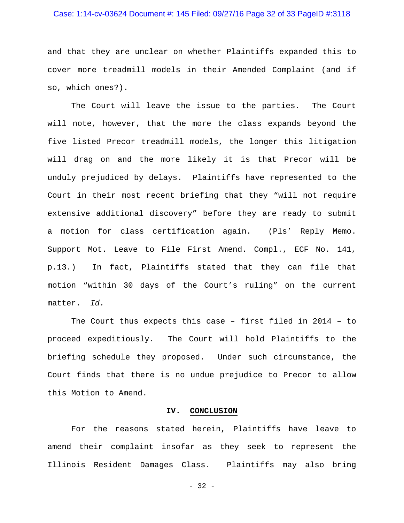### Case: 1:14-cv-03624 Document #: 145 Filed: 09/27/16 Page 32 of 33 PageID #:3118

and that they are unclear on whether Plaintiffs expanded this to cover more treadmill models in their Amended Complaint (and if so, which ones?).

The Court will leave the issue to the parties. The Court will note, however, that the more the class expands beyond the five listed Precor treadmill models, the longer this litigation will drag on and the more likely it is that Precor will be unduly prejudiced by delays. Plaintiffs have represented to the Court in their most recent briefing that they "will not require extensive additional discovery" before they are ready to submit a motion for class certification again. (Pls' Reply Memo. Support Mot. Leave to File First Amend. Compl., ECF No. 141, p.13.) In fact, Plaintiffs stated that they can file that motion "within 30 days of the Court's ruling" on the current matter. *Id.*

The Court thus expects this case – first filed in 2014 – to proceed expeditiously. The Court will hold Plaintiffs to the briefing schedule they proposed. Under such circumstance, the Court finds that there is no undue prejudice to Precor to allow this Motion to Amend.

#### **IV. CONCLUSION**

For the reasons stated herein, Plaintiffs have leave to amend their complaint insofar as they seek to represent the Illinois Resident Damages Class. Plaintiffs may also bring

- 32 -